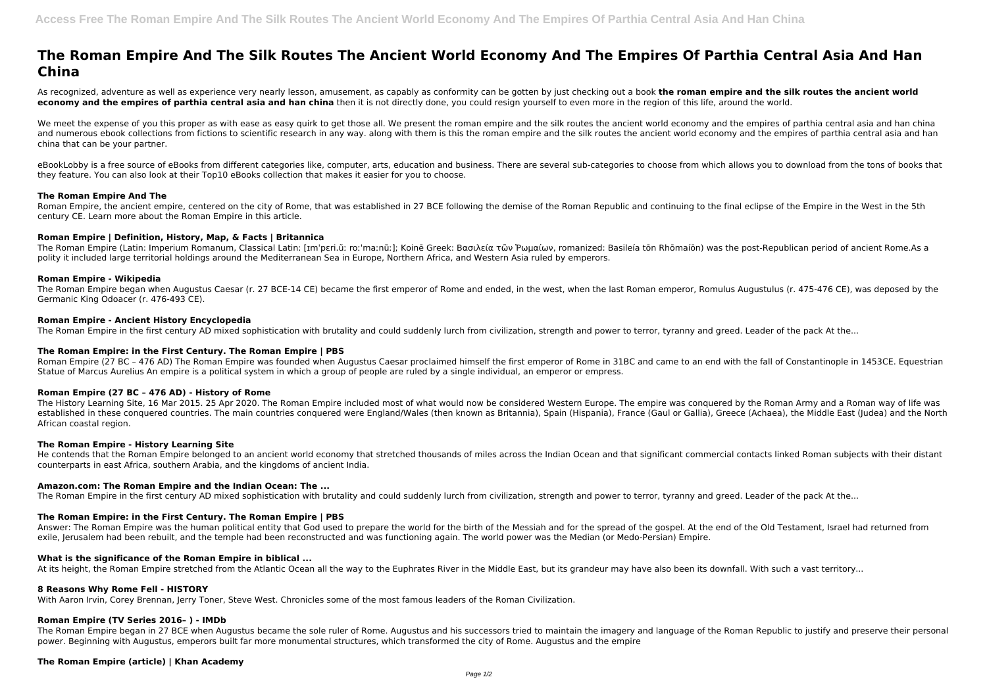# **The Roman Empire And The Silk Routes The Ancient World Economy And The Empires Of Parthia Central Asia And Han China**

As recognized, adventure as well as experience very nearly lesson, amusement, as capably as conformity can be gotten by just checking out a book **the roman empire and the silk routes the ancient world economy and the empires of parthia central asia and han china** then it is not directly done, you could resign yourself to even more in the region of this life, around the world.

We meet the expense of you this proper as with ease as easy quirk to get those all. We present the roman empire and the silk routes the ancient world economy and the empires of parthia central asia and han china and numerous ebook collections from fictions to scientific research in any way. along with them is this the roman empire and the silk routes the ancient world economy and the empires of parthia central asia and han china that can be your partner.

eBookLobby is a free source of eBooks from different categories like, computer, arts, education and business. There are several sub-categories to choose from which allows you to download from the tons of books that they feature. You can also look at their Top10 eBooks collection that makes it easier for you to choose.

# **The Roman Empire And The**

Roman Empire (27 BC - 476 AD) The Roman Empire was founded when Augustus Caesar proclaimed himself the first emperor of Rome in 31BC and came to an end with the fall of Constantinople in 1453CE. Equestrian Statue of Marcus Aurelius An empire is a political system in which a group of people are ruled by a single individual, an emperor or empress.

Roman Empire, the ancient empire, centered on the city of Rome, that was established in 27 BCE following the demise of the Roman Republic and continuing to the final eclipse of the Empire in the West in the 5th century CE. Learn more about the Roman Empire in this article.

# **Roman Empire | Definition, History, Map, & Facts | Britannica**

The History Learning Site, 16 Mar 2015. 25 Apr 2020. The Roman Empire included most of what would now be considered Western Europe. The empire was conquered by the Roman Army and a Roman way of life was established in these conquered countries. The main countries conquered were England/Wales (then known as Britannia), Spain (Hispania), France (Gaul or Gallia), Greece (Achaea), the Middle East (Judea) and the North African coastal region.

He contends that the Roman Empire belonged to an ancient world economy that stretched thousands of miles across the Indian Ocean and that significant commercial contacts linked Roman subjects with their distant counterparts in east Africa, southern Arabia, and the kingdoms of ancient India.

The Roman Empire (Latin: Imperium Romanum, Classical Latin: [ɪmˈpɛri.ũː roːˈmaːnũː]; Koinē Greek: Βασιλεία τῶν Ῥωμαίων, romanized: Basileía tōn Rhōmaíōn) was the post-Republican period of ancient Rome.As a polity it included large territorial holdings around the Mediterranean Sea in Europe, Northern Africa, and Western Asia ruled by emperors.

# **Roman Empire - Wikipedia**

The Roman Empire began when Augustus Caesar (r. 27 BCE-14 CE) became the first emperor of Rome and ended, in the west, when the last Roman emperor, Romulus Augustulus (r. 475-476 CE), was deposed by the Germanic King Odoacer (r. 476-493 CE).

# **Roman Empire - Ancient History Encyclopedia**

The Roman Empire in the first century AD mixed sophistication with brutality and could suddenly lurch from civilization, strength and power to terror, tyranny and greed. Leader of the pack At the...

# **The Roman Empire: in the First Century. The Roman Empire | PBS**

# **Roman Empire (27 BC – 476 AD) - History of Rome**

# **The Roman Empire - History Learning Site**

# **Amazon.com: The Roman Empire and the Indian Ocean: The ...**

The Roman Empire in the first century AD mixed sophistication with brutality and could suddenly lurch from civilization, strength and power to terror, tyranny and greed. Leader of the pack At the...

# **The Roman Empire: in the First Century. The Roman Empire | PBS**

Answer: The Roman Empire was the human political entity that God used to prepare the world for the birth of the Messiah and for the spread of the gospel. At the end of the Old Testament, Israel had returned from exile, Jerusalem had been rebuilt, and the temple had been reconstructed and was functioning again. The world power was the Median (or Medo-Persian) Empire.

# **What is the significance of the Roman Empire in biblical ...**

At its height, the Roman Empire stretched from the Atlantic Ocean all the way to the Euphrates River in the Middle East, but its grandeur may have also been its downfall. With such a vast territory...

# **8 Reasons Why Rome Fell - HISTORY**

With Aaron Irvin, Corey Brennan, Jerry Toner, Steve West. Chronicles some of the most famous leaders of the Roman Civilization.

# **Roman Empire (TV Series 2016– ) - IMDb**

The Roman Empire began in 27 BCE when Augustus became the sole ruler of Rome. Augustus and his successors tried to maintain the imagery and language of the Roman Republic to justify and preserve their personal power. Beginning with Augustus, emperors built far more monumental structures, which transformed the city of Rome. Augustus and the empire

# **The Roman Empire (article) | Khan Academy**